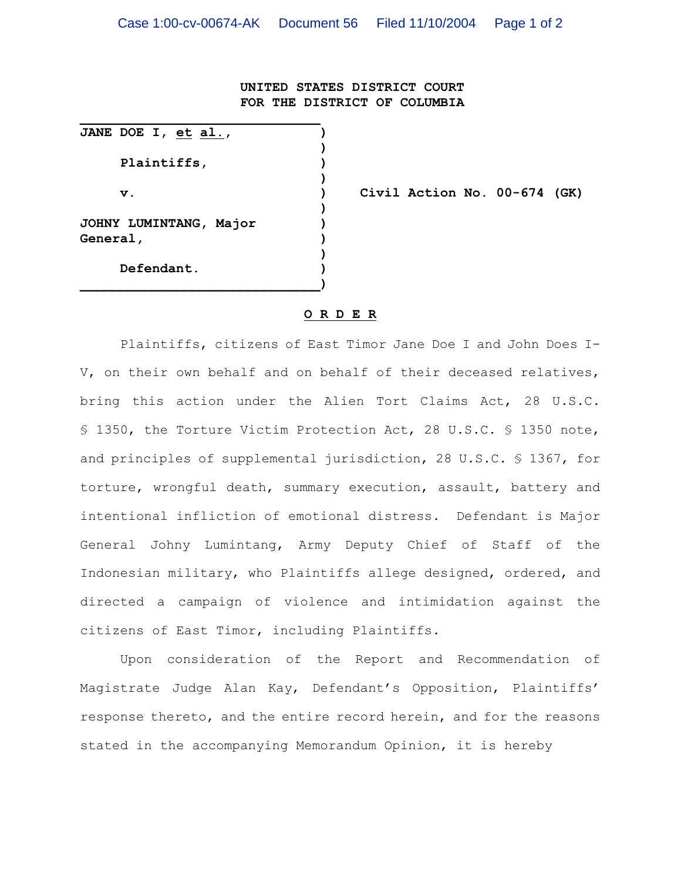## **UNITED STATES DISTRICT COURT FOR THE DISTRICT OF COLUMBIA**

**JANE DOE I, et al., ) ) Plaintiffs, ) ) ) JOHNY LUMINTANG, Major ) General, ) ) Defendant. ) \_\_\_\_\_\_\_\_\_\_\_\_\_\_\_\_\_\_\_\_\_\_\_\_\_\_\_\_\_\_)**

**\_\_\_\_\_\_\_\_\_\_\_\_\_\_\_\_\_\_\_\_\_\_\_\_\_\_\_\_\_\_**

**v. ) Civil Action No. 00-674 (GK)**

## **O R D E R**

Plaintiffs, citizens of East Timor Jane Doe I and John Does I-V, on their own behalf and on behalf of their deceased relatives, bring this action under the Alien Tort Claims Act, 28 U.S.C. § 1350, the Torture Victim Protection Act, 28 U.S.C. § 1350 note, and principles of supplemental jurisdiction, 28 U.S.C. § 1367, for torture, wrongful death, summary execution, assault, battery and intentional infliction of emotional distress. Defendant is Major General Johny Lumintang, Army Deputy Chief of Staff of the Indonesian military, who Plaintiffs allege designed, ordered, and directed a campaign of violence and intimidation against the citizens of East Timor, including Plaintiffs.

Upon consideration of the Report and Recommendation of Magistrate Judge Alan Kay, Defendant's Opposition, Plaintiffs' response thereto, and the entire record herein, and for the reasons stated in the accompanying Memorandum Opinion, it is hereby